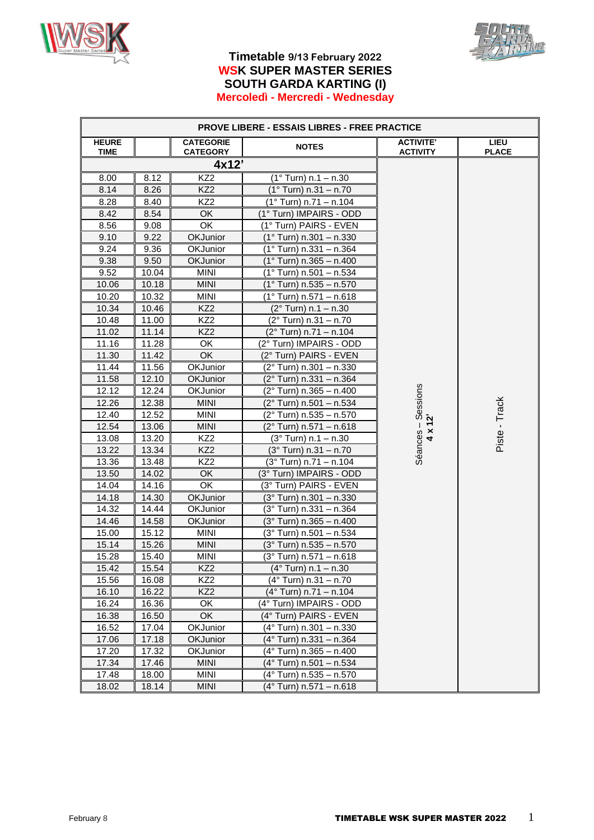



### **Timetable 9/13 February 2022 WSK SUPER MASTER SERIES SOUTH GARDA KARTING (I) Mercoledì - Mercredi - Wednesday**

|                      | <b>PROVE LIBERE - ESSAIS LIBRES - FREE PRACTICE</b> |                                     |                                |                                           |                             |  |
|----------------------|-----------------------------------------------------|-------------------------------------|--------------------------------|-------------------------------------------|-----------------------------|--|
| <b>HEURE</b><br>TIME |                                                     | <b>CATEGORIE</b><br><b>CATEGORY</b> | <b>NOTES</b>                   | <b>ACTIVITE'</b><br><b>ACTIVITY</b>       | <b>LIEU</b><br><b>PLACE</b> |  |
|                      |                                                     | 4x12'                               |                                |                                           |                             |  |
| 8.00                 | 8.12                                                | KZ <sub>2</sub>                     | $(1^{\circ}$ Turn) n.1 – n.30  |                                           |                             |  |
| 8.14                 | 8.26                                                | KZ <sub>2</sub>                     | $(1°$ Turn) n.31 - n.70        |                                           |                             |  |
| 8.28                 | 8.40                                                | KZ <sub>2</sub>                     | $(1°$ Turn) n.71 - n.104       |                                           |                             |  |
| 8.42                 | 8.54                                                | OK                                  | (1° Turn) IMPAIRS - ODD        |                                           |                             |  |
| 8.56                 | 9.08                                                | OK                                  | (1° Turn) PAIRS - EVEN         |                                           |                             |  |
| 9.10                 | 9.22                                                | OKJunior                            | $(1°$ Turn) n.301 - n.330      |                                           |                             |  |
| 9.24                 | 9.36                                                | OKJunior                            | $(1°$ Turn) n.331 - n.364      |                                           |                             |  |
| 9.38                 | 9.50                                                | <b>OKJunior</b>                     | $(1°$ Turn) n.365 - n.400      |                                           |                             |  |
| 9.52                 | 10.04                                               | <b>MINI</b>                         | $(1°$ Turn) n.501 - n.534      |                                           |                             |  |
| 10.06                | 10.18                                               | <b>MINI</b>                         | (1° Turn) n.535 - n.570        |                                           |                             |  |
| 10.20                | 10.32                                               | <b>MINI</b>                         | (1° Turn) n.571 – n.618        |                                           |                             |  |
| 10.34                | 10.46                                               | KZ <sub>2</sub>                     | $(2^{\circ}$ Turn) n.1 – n.30  |                                           |                             |  |
| 10.48                | 11.00                                               | KZ <sub>2</sub>                     | (2° Turn) n.31 - n.70          |                                           |                             |  |
| 11.02                | 11.14                                               | KZ <sub>2</sub>                     | (2° Turn) n.71 – n.104         |                                           |                             |  |
| 11.16                | 11.28                                               | OK                                  | (2° Turn) IMPAIRS - ODD        |                                           |                             |  |
| 11.30                | 11.42                                               | OK                                  | (2° Turn) PAIRS - EVEN         |                                           |                             |  |
| 11.44                | 11.56                                               | OKJunior                            | (2° Turn) n.301 - n.330        |                                           |                             |  |
| 11.58                | 12.10                                               | OKJunior                            | (2° Turn) n.331 - n.364        |                                           |                             |  |
| 12.12                | 12.24                                               | OKJunior                            | (2° Turn) n.365 – n.400        | Sessions                                  |                             |  |
| 12.26                | 12.38                                               | <b>MINI</b>                         | (2° Turn) n.501 – n.534        |                                           | Piste - Track               |  |
| 12.40                | 12.52                                               | <b>MINI</b>                         | (2° Turn) n.535 – n.570        | 12                                        |                             |  |
| 12.54                | 13.06                                               | <b>MINI</b>                         | (2° Turn) n.571 – n.618        | $\mathbf{I}$<br>$\boldsymbol{\mathsf{x}}$ |                             |  |
| 13.08                | 13.20                                               | KZ <sub>2</sub>                     | $(3°$ Turn) n.1 - n.30         | $\overline{a}$                            |                             |  |
| 13.22                | 13.34                                               | KZ <sub>2</sub>                     | $(3^{\circ}$ Turn) n.31 - n.70 | Séances                                   |                             |  |
| 13.36                | 13.48                                               | KZ <sub>2</sub>                     | $(3°$ Turn) n.71 - n.104       |                                           |                             |  |
| 13.50                | 14.02                                               | <b>OK</b>                           | (3° Turn) IMPAIRS - ODD        |                                           |                             |  |
| 14.04                | 14.16                                               | OK                                  | (3° Turn) PAIRS - EVEN         |                                           |                             |  |
| 14.18                | 14.30                                               | <b>OKJunior</b>                     | $(3°$ Turn) n.301 - n.330      |                                           |                             |  |
| 14.32                | 14.44                                               | OKJunior                            | (3° Turn) n.331 - n.364        |                                           |                             |  |
| 14.46                | 14.58                                               | <b>OKJunior</b>                     | (3° Turn) n.365 - n.400        |                                           |                             |  |
| 15.00                | 15.12                                               | <b>MINI</b>                         | (3° Turn) n.501 - n.534        |                                           |                             |  |
| 15.14                | 15.26                                               | <b>MINI</b>                         | (3° Turn) n.535 - n.570        |                                           |                             |  |
| 15.28                | 15.40                                               | <b>MINI</b>                         | (3° Turn) n.571 - n.618        |                                           |                             |  |
| 15.42                | 15.54                                               | KZ <sub>2</sub>                     | $(4^{\circ}$ Turn) n.1 - n.30  |                                           |                             |  |
| 15.56                | 16.08                                               | KZ <sub>2</sub>                     | (4° Turn) n.31 – n.70          |                                           |                             |  |
| 16.10                | 16.22                                               | KZ <sub>2</sub>                     | (4° Turn) n.71 - n.104         |                                           |                             |  |
| 16.24                | 16.36                                               | OK                                  | (4° Turn) IMPAIRS - ODD        |                                           |                             |  |
| 16.38                | 16.50                                               | OK                                  | (4° Turn) PAIRS - EVEN         |                                           |                             |  |
| 16.52                | 17.04                                               | OKJunior                            | (4° Turn) n.301 - n.330        |                                           |                             |  |
| 17.06                | 17.18                                               | OKJunior                            | (4° Turn) n.331 – n.364        |                                           |                             |  |
| 17.20                | 17.32                                               | OKJunior                            | (4° Turn) n.365 - n.400        |                                           |                             |  |
| 17.34                | 17.46                                               | <b>MINI</b>                         | (4° Turn) n.501 – n.534        |                                           |                             |  |
| 17.48                | 18.00                                               | <b>MINI</b>                         | (4° Turn) n.535 - n.570        |                                           |                             |  |
| 18.02                | 18.14                                               | <b>MINI</b>                         | (4° Turn) n.571 - n.618        |                                           |                             |  |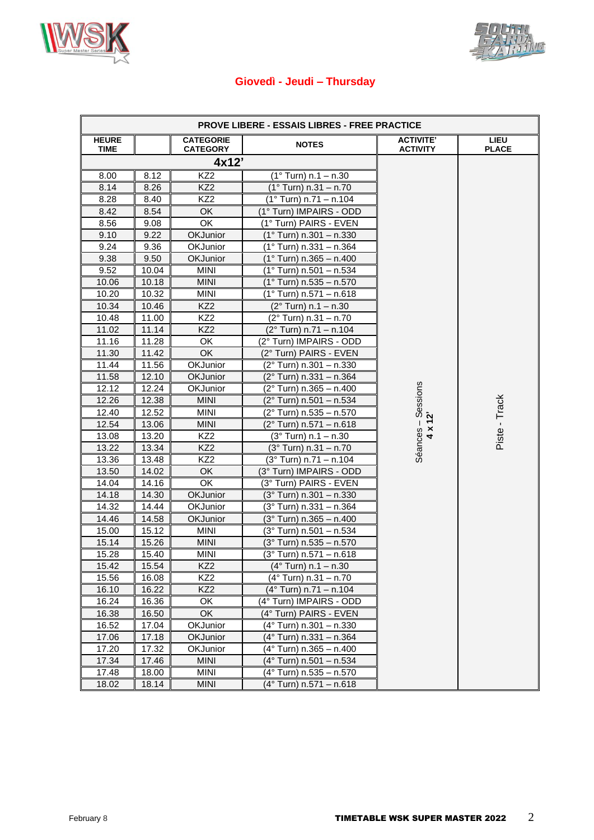



### **Giovedì - Jeudi – Thursday**

|                      | <b>PROVE LIBERE - ESSAIS LIBRES - FREE PRACTICE</b> |                                     |                                 |                                     |                             |  |
|----------------------|-----------------------------------------------------|-------------------------------------|---------------------------------|-------------------------------------|-----------------------------|--|
| <b>HEURE</b><br>TIME |                                                     | <b>CATEGORIE</b><br><b>CATEGORY</b> | <b>NOTES</b>                    | <b>ACTIVITE'</b><br><b>ACTIVITY</b> | <b>LIEU</b><br><b>PLACE</b> |  |
|                      |                                                     | 4x12'                               |                                 |                                     |                             |  |
| 8.00                 | 8.12                                                | KZ <sub>2</sub>                     | $(1°$ Turn) n.1 – n.30          |                                     |                             |  |
| 8.14                 | 8.26                                                | KZ <sub>2</sub>                     | $(1°$ Turn) n.31 - n.70         |                                     |                             |  |
| 8.28                 | 8.40                                                | KZ2                                 | $(1°$ Turn) n.71 - n.104        |                                     |                             |  |
| 8.42                 | 8.54                                                | OK                                  | (1° Turn) IMPAIRS - ODD         |                                     |                             |  |
| 8.56                 | 9.08                                                | OK                                  | (1° Turn) PAIRS - EVEN          |                                     |                             |  |
| 9.10                 | 9.22                                                | OKJunior                            | (1° Turn) n.301 - n.330         |                                     |                             |  |
| 9.24                 | 9.36                                                | OKJunior                            | (1° Turn) n.331 – n.364         |                                     |                             |  |
| 9.38                 | 9.50                                                | OKJunior                            | $(1°$ Turn) n.365 - n.400       |                                     |                             |  |
| 9.52                 | 10.04                                               | <b>MINI</b>                         | (1° Turn) n.501 – n.534         |                                     |                             |  |
| 10.06                | 10.18                                               | <b>MINI</b>                         | (1° Turn) n.535 - n.570         |                                     |                             |  |
| 10.20                | 10.32                                               | <b>MINI</b>                         | (1° Turn) n.571 – n.618         |                                     |                             |  |
| 10.34                | 10.46                                               | KZ <sub>2</sub>                     | (2° Turn) n.1 - n.30            |                                     |                             |  |
| 10.48                | 11.00                                               | KZ <sub>2</sub>                     | (2° Turn) n.31 - n.70           |                                     |                             |  |
| 11.02                | 11.14                                               | KZ <sub>2</sub>                     | $(2°$ Turn) n.71 - n.104        |                                     |                             |  |
| 11.16                | 11.28                                               | OK                                  | (2° Turn) IMPAIRS - ODD         |                                     |                             |  |
| 11.30                | 11.42                                               | OK                                  | (2° Turn) PAIRS - EVEN          |                                     |                             |  |
| 11.44                | 11.56                                               | OKJunior                            | (2° Turn) n.301 - n.330         |                                     |                             |  |
| 11.58                | 12.10                                               | <b>OKJunior</b>                     | (2° Turn) n.331 - n.364         |                                     |                             |  |
| 12.12                | 12.24                                               | OKJunior                            | (2° Turn) n.365 - n.400         |                                     |                             |  |
| 12.26                | 12.38                                               | <b>MINI</b>                         | (2° Turn) n.501 - n.534         |                                     |                             |  |
| 12.40                | 12.52                                               | <b>MINI</b>                         | (2° Turn) n.535 - n.570         | Séances - Sessions                  | Piste - Track               |  |
| 12.54                | 13.06                                               | <b>MINI</b>                         | (2° Turn) n.571 - n.618         | $4 \times 12$                       |                             |  |
| 13.08                | 13.20                                               | KZ <sub>2</sub>                     | $(3°$ Turn) n.1 - n.30          |                                     |                             |  |
| 13.22                | 13.34                                               | KZ <sub>2</sub>                     | $(3°$ Turn) n.31 - n.70         |                                     |                             |  |
| 13.36                | 13.48                                               | KZ <sub>2</sub>                     | (3° Turn) n.71 - n.104          |                                     |                             |  |
| 13.50                | 14.02                                               | OK                                  | (3° Turn) IMPAIRS - ODD         |                                     |                             |  |
| 14.04                | 14.16                                               | OK                                  | (3° Turn) PAIRS - EVEN          |                                     |                             |  |
| 14.18                | 14.30                                               | OKJunior                            | $(3°$ Turn) n.301 - n.330       |                                     |                             |  |
| 14.32                | 14.44                                               | OKJunior                            | (3° Turn) n.331 - n.364         |                                     |                             |  |
| 14.46                | 14.58                                               | OKJunior                            | $(3°)$ Turn) n.365 - n.400      |                                     |                             |  |
| 15.00                | 15.12                                               | <b>MINI</b>                         | (3° Turn) n.501 - n.534         |                                     |                             |  |
| 15.14                | 15.26                                               | <b>MINI</b>                         | $(3°)$ Turn) n.535 - n.570      |                                     |                             |  |
| 15.28                | 15.40                                               | <b>MINI</b>                         | $(3°)$ Turn) n.571 - n.618      |                                     |                             |  |
| 15.42                | 15.54                                               | KZ <sub>2</sub>                     | $(4°$ Turn) n.1 - n.30          |                                     |                             |  |
| 15.56                | 16.08                                               | KZ <sub>2</sub>                     | $(4^{\circ}$ Turn) n.31 - n.70  |                                     |                             |  |
| 16.10                | 16.22                                               | KZ <sub>2</sub>                     | $(4^{\circ}$ Turn) n.71 - n.104 |                                     |                             |  |
| 16.24                | 16.36                                               | OK                                  | (4° Turn) IMPAIRS - ODD         |                                     |                             |  |
| 16.38                | 16.50                                               | OK                                  | (4° Turn) PAIRS - EVEN          |                                     |                             |  |
| 16.52                | 17.04                                               | OKJunior                            | (4° Turn) n.301 – n.330         |                                     |                             |  |
| 17.06                | 17.18                                               | <b>OKJunior</b>                     | (4° Turn) n.331 – n.364         |                                     |                             |  |
| 17.20                | 17.32                                               | OKJunior                            | (4° Turn) n.365 – n.400         |                                     |                             |  |
| 17.34                | 17.46                                               | <b>MINI</b>                         | (4° Turn) n.501 - n.534         |                                     |                             |  |
| 17.48                | 18.00                                               | <b>MINI</b>                         | (4° Turn) n.535 – n.570         |                                     |                             |  |
| 18.02                | 18.14                                               | <b>MINI</b>                         | (4° Turn) n.571 - n.618         |                                     |                             |  |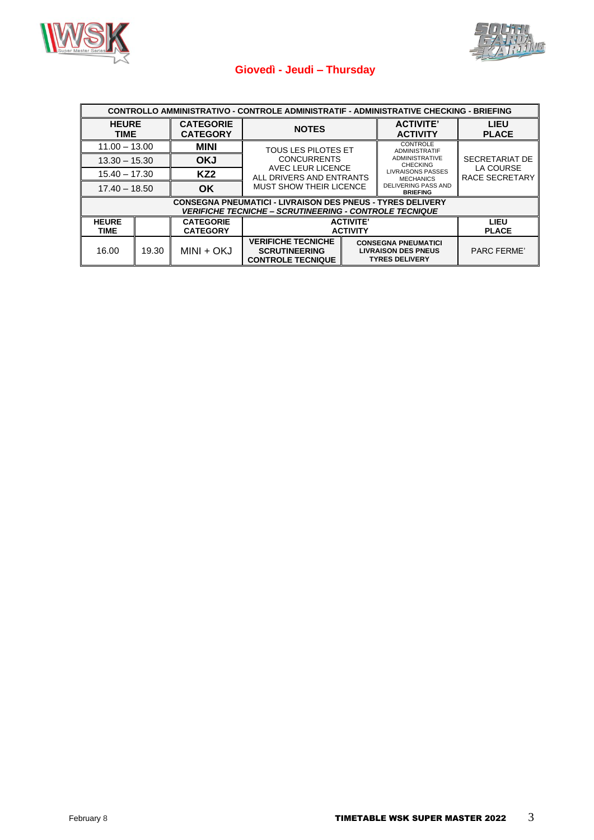



## **Giovedì - Jeudi – Thursday**

| CONTROLLO AMMINISTRATIVO - CONTROLE ADMINISTRATIF - ADMINISTRATIVE CHECKING - BRIEFING |                                                                                                                                           |                                     |                                                                               |  |                                                                                   |                             |                             |
|----------------------------------------------------------------------------------------|-------------------------------------------------------------------------------------------------------------------------------------------|-------------------------------------|-------------------------------------------------------------------------------|--|-----------------------------------------------------------------------------------|-----------------------------|-----------------------------|
| <b>HEURE</b><br><b>TIME</b>                                                            |                                                                                                                                           | <b>CATEGORIE</b><br><b>CATEGORY</b> | <b>NOTES</b>                                                                  |  | <b>ACTIVITE'</b><br><b>ACTIVITY</b>                                               | <b>LIEU</b><br><b>PLACE</b> |                             |
| $11.00 - 13.00$                                                                        |                                                                                                                                           | <b>MINI</b>                         | <b>TOUS LES PILOTES ET</b><br><b>CONCURRENTS</b>                              |  | CONTROLE<br><b>ADMINISTRATIF</b>                                                  |                             |                             |
| $13.30 - 15.30$                                                                        |                                                                                                                                           | <b>OKJ</b>                          |                                                                               |  | <b>ADMINISTRATIVE</b><br><b>CHECKING</b>                                          | SECRETARIAT DE              |                             |
| $15.40 - 17.30$                                                                        |                                                                                                                                           | KZ2                                 | AVEC LEUR LICENCE<br>ALL DRIVERS AND ENTRANTS<br>MUST SHOW THEIR LICENCE      |  | <b>LIVRAISONS PASSES</b>                                                          | <b>MECHANICS</b>            | LA COURSE<br>RACE SECRETARY |
| $17.40 - 18.50$                                                                        |                                                                                                                                           | <b>OK</b>                           |                                                                               |  | <b>DELIVERING PASS AND</b><br><b>BRIEFING</b>                                     |                             |                             |
|                                                                                        | <b>CONSEGNA PNEUMATICI - LIVRAISON DES PNEUS - TYRES DELIVERY</b><br><i><b>VERIFICHE TECNICHE – SCRUTINEERING - CONTROLE TECNIQUE</b></i> |                                     |                                                                               |  |                                                                                   |                             |                             |
| <b>HEURE</b><br>TIME                                                                   |                                                                                                                                           | <b>CATEGORIE</b><br><b>CATEGORY</b> | <b>ACTIVITE'</b><br><b>ACTIVITY</b>                                           |  | LIEU<br><b>PLACE</b>                                                              |                             |                             |
| 16.00                                                                                  | 19.30                                                                                                                                     | MINI + OKJ                          | <b>VERIFICHE TECNICHE</b><br><b>SCRUTINEERING</b><br><b>CONTROLE TECNIQUE</b> |  | <b>CONSEGNA PNEUMATICI</b><br><b>LIVRAISON DES PNEUS</b><br><b>TYRES DELIVERY</b> | <b>PARC FERME'</b>          |                             |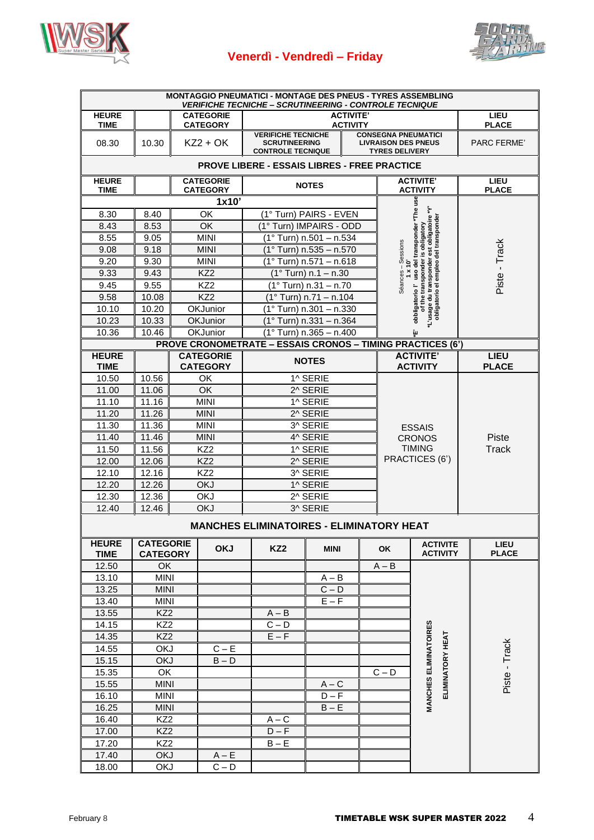

## **Venerdì - Vendredì – Friday**



| <b>MONTAGGIO PNEUMATICI - MONTAGE DES PNEUS - TYRES ASSEMBLING</b><br><b>VERIFICHE TECNICHE - SCRUTINEERING - CONTROLE TECNIQUE</b> |                                     |  |                                     |                                                                                                                                                                    |                           |  |                    |                                                                                                                                                                                                   |  |                             |
|-------------------------------------------------------------------------------------------------------------------------------------|-------------------------------------|--|-------------------------------------|--------------------------------------------------------------------------------------------------------------------------------------------------------------------|---------------------------|--|--------------------|---------------------------------------------------------------------------------------------------------------------------------------------------------------------------------------------------|--|-----------------------------|
| <b>HEURE</b><br><b>TIME</b>                                                                                                         |                                     |  | <b>CATEGORIE</b><br><b>CATEGORY</b> | <b>ACTIVITE'</b><br><b>ACTIVITY</b>                                                                                                                                |                           |  |                    | <b>LIEU</b><br><b>PLACE</b>                                                                                                                                                                       |  |                             |
| 08.30                                                                                                                               | 10.30                               |  | $KZ2 + OK$                          | <b>CONSEGNA PNEUMATICI</b><br><b>VERIFICHE TECNICHE</b><br><b>SCRUTINEERING</b><br><b>LIVRAISON DES PNEUS</b><br><b>CONTROLE TECNIQUE</b><br><b>TYRES DELIVERY</b> |                           |  | <b>PARC FERME'</b> |                                                                                                                                                                                                   |  |                             |
|                                                                                                                                     |                                     |  |                                     | <b>PROVE LIBERE - ESSAIS LIBRES - FREE PRACTICE</b>                                                                                                                |                           |  |                    |                                                                                                                                                                                                   |  |                             |
| <b>HEURE</b><br><b>TIME</b>                                                                                                         |                                     |  | <b>CATEGORIE</b><br><b>CATEGORY</b> |                                                                                                                                                                    | <b>NOTES</b>              |  |                    | <b>ACTIVITE'</b><br><b>ACTIVITY</b>                                                                                                                                                               |  | LIEU<br><b>PLACE</b>        |
|                                                                                                                                     |                                     |  | 1x10'                               |                                                                                                                                                                    |                           |  |                    | 9su                                                                                                                                                                                               |  |                             |
| 8.30                                                                                                                                | 8.40                                |  | OK                                  |                                                                                                                                                                    | (1° Turn) PAIRS - EVEN    |  |                    |                                                                                                                                                                                                   |  |                             |
| 8.43                                                                                                                                | 8.53                                |  | ОK                                  |                                                                                                                                                                    | (1° Turn) IMPAIRS - ODD   |  |                    |                                                                                                                                                                                                   |  |                             |
| 8.55                                                                                                                                | 9.05                                |  | <b>MINI</b>                         |                                                                                                                                                                    | (1° Turn) n.501 - n.534   |  |                    | est obligatoire *Y'<br>obbligatorio l'uso del transponder *The<br><sup>1</sup> L'usage du transponder est obligatoire<br>obligatorio el empleo del transponde<br>of the transponder is obligatory |  |                             |
| 9.08                                                                                                                                | 9.18                                |  | <b>MINI</b>                         |                                                                                                                                                                    | (1° Turn) n.535 - n.570   |  |                    |                                                                                                                                                                                                   |  |                             |
| 9.20                                                                                                                                | 9.30                                |  | <b>MINI</b>                         |                                                                                                                                                                    | $(1°$ Turn) n.571 - n.618 |  | Séances - Sessions |                                                                                                                                                                                                   |  | Piste - Track               |
| 9.33                                                                                                                                | 9.43                                |  | KZ <sub>2</sub>                     |                                                                                                                                                                    | $(1°$ Turn) n.1 - n.30    |  |                    |                                                                                                                                                                                                   |  |                             |
| 9.45                                                                                                                                | 9.55                                |  | KZ <sub>2</sub>                     |                                                                                                                                                                    | $(1°$ Turn) n.31 - n.70   |  |                    |                                                                                                                                                                                                   |  |                             |
| 9.58                                                                                                                                | 10.08                               |  | KZ <sub>2</sub>                     |                                                                                                                                                                    | $(1°$ Turn) n.71 - n.104  |  |                    |                                                                                                                                                                                                   |  |                             |
| 10.10                                                                                                                               | 10.20                               |  | OKJunior                            |                                                                                                                                                                    | $(1°$ Turn) n.301 - n.330 |  |                    |                                                                                                                                                                                                   |  |                             |
| 10.23                                                                                                                               | 10.33                               |  | OKJunior                            |                                                                                                                                                                    | $(1°$ Turn) n.331 - n.364 |  |                    |                                                                                                                                                                                                   |  |                             |
| 10.36                                                                                                                               | 10.46                               |  | OKJunior                            |                                                                                                                                                                    | $(1°$ Turn) n.365 - n.400 |  |                    | îц                                                                                                                                                                                                |  |                             |
|                                                                                                                                     |                                     |  |                                     | <b>PROVE CRONOMETRATE - ESSAIS CRONOS - TIMING PRACTICES (6')</b>                                                                                                  |                           |  |                    |                                                                                                                                                                                                   |  |                             |
| <b>HEURE</b><br><b>TIME</b>                                                                                                         |                                     |  | <b>CATEGORIE</b><br><b>CATEGORY</b> |                                                                                                                                                                    | <b>NOTES</b>              |  |                    | <b>ACTIVITE'</b><br><b>ACTIVITY</b>                                                                                                                                                               |  | <b>LIEU</b><br><b>PLACE</b> |
| 10.50                                                                                                                               | 10.56                               |  | OK                                  |                                                                                                                                                                    | 1^ SERIE                  |  |                    |                                                                                                                                                                                                   |  |                             |
| 11.00                                                                                                                               | 11.06                               |  | OK                                  |                                                                                                                                                                    | 2^ SERIE                  |  |                    |                                                                                                                                                                                                   |  |                             |
| 11.10                                                                                                                               | 11.16                               |  | <b>MINI</b>                         |                                                                                                                                                                    | 1^ SERIE                  |  |                    |                                                                                                                                                                                                   |  |                             |
| 11.20                                                                                                                               | 11.26                               |  | <b>MINI</b>                         |                                                                                                                                                                    | 2^ SERIE                  |  |                    |                                                                                                                                                                                                   |  |                             |
| 11.30                                                                                                                               | 11.36                               |  | <b>MINI</b>                         |                                                                                                                                                                    | 3^ SERIE                  |  |                    | <b>ESSAIS</b>                                                                                                                                                                                     |  |                             |
| 11.40                                                                                                                               | 11.46                               |  | <b>MINI</b>                         |                                                                                                                                                                    | 4^ SERIE                  |  |                    | <b>CRONOS</b>                                                                                                                                                                                     |  | Piste                       |
| 11.50                                                                                                                               | 11.56                               |  | KZ <sub>2</sub>                     |                                                                                                                                                                    | 1^ SERIE                  |  |                    | <b>TIMING</b>                                                                                                                                                                                     |  | <b>Track</b>                |
| 12.00                                                                                                                               | 12.06                               |  | KZ <sub>2</sub>                     |                                                                                                                                                                    | 2^ SERIE                  |  |                    | PRACTICES (6')                                                                                                                                                                                    |  |                             |
| 12.10                                                                                                                               | 12.16                               |  | KZ <sub>2</sub>                     |                                                                                                                                                                    | 3^ SERIE                  |  |                    |                                                                                                                                                                                                   |  |                             |
| 12.20                                                                                                                               | 12.26                               |  | <b>OKJ</b>                          |                                                                                                                                                                    | 1^ SERIE                  |  |                    |                                                                                                                                                                                                   |  |                             |
| 12.30                                                                                                                               | 12.36                               |  | <b>OKJ</b>                          |                                                                                                                                                                    | 2^ SERIE                  |  |                    |                                                                                                                                                                                                   |  |                             |
| 12.40                                                                                                                               | 12.46                               |  | <b>OKJ</b>                          |                                                                                                                                                                    | 3^ SERIE                  |  |                    |                                                                                                                                                                                                   |  |                             |
|                                                                                                                                     |                                     |  |                                     | <b>MANCHES ELIMINATOIRES - ELIMINATORY HEAT</b>                                                                                                                    |                           |  |                    |                                                                                                                                                                                                   |  |                             |
| <b>HEURE</b><br><b>TIME</b>                                                                                                         | <b>CATEGORIE</b><br><b>CATEGORY</b> |  | <b>OKJ</b>                          | KZ <sub>2</sub>                                                                                                                                                    | <b>MINI</b>               |  | OK                 | <b>ACTIVITE</b><br><b>ACTIVITY</b>                                                                                                                                                                |  | <b>LIEU</b><br><b>PLACE</b> |
| 12.50                                                                                                                               | OK                                  |  |                                     |                                                                                                                                                                    |                           |  | $A - B$            |                                                                                                                                                                                                   |  |                             |
| 13.10                                                                                                                               | <b>MINI</b>                         |  |                                     |                                                                                                                                                                    | $A - B$                   |  |                    |                                                                                                                                                                                                   |  |                             |
| 13.25                                                                                                                               | <b>MINI</b>                         |  |                                     |                                                                                                                                                                    | $C - D$                   |  |                    |                                                                                                                                                                                                   |  |                             |
| 13.40                                                                                                                               | <b>MINI</b>                         |  |                                     |                                                                                                                                                                    | $E - F$                   |  |                    |                                                                                                                                                                                                   |  |                             |
| 13.55                                                                                                                               | KZ <sub>2</sub>                     |  |                                     | $A - B$                                                                                                                                                            |                           |  |                    |                                                                                                                                                                                                   |  |                             |
| 14.15                                                                                                                               | KZ <sub>2</sub>                     |  |                                     | $C - D$                                                                                                                                                            |                           |  |                    |                                                                                                                                                                                                   |  |                             |
| 14.35                                                                                                                               | KZ <sub>2</sub>                     |  |                                     | $E - F$                                                                                                                                                            |                           |  |                    |                                                                                                                                                                                                   |  |                             |
| 14.55                                                                                                                               | <b>OKJ</b>                          |  | $C - E$                             |                                                                                                                                                                    |                           |  |                    |                                                                                                                                                                                                   |  |                             |
| 15.15                                                                                                                               | <b>OKJ</b>                          |  | $B - D$                             |                                                                                                                                                                    |                           |  |                    | <b>MANCHES ELIMINATOIRES</b><br>ELIMINATORY HEAT                                                                                                                                                  |  | Piste - Track               |
| 15.35                                                                                                                               | OK                                  |  |                                     |                                                                                                                                                                    |                           |  | $C - D$            |                                                                                                                                                                                                   |  |                             |
| 15.55                                                                                                                               | <b>MINI</b>                         |  |                                     |                                                                                                                                                                    | $A - C$                   |  |                    |                                                                                                                                                                                                   |  |                             |
| 16.10                                                                                                                               | <b>MINI</b>                         |  |                                     |                                                                                                                                                                    | $D - F$                   |  |                    |                                                                                                                                                                                                   |  |                             |
| 16.25                                                                                                                               | <b>MINI</b>                         |  |                                     |                                                                                                                                                                    | $\mathsf{B}-\mathsf{E}$   |  |                    |                                                                                                                                                                                                   |  |                             |
| 16.40                                                                                                                               | KZ <sub>2</sub>                     |  |                                     | $A - C$<br>$D - F$                                                                                                                                                 |                           |  |                    |                                                                                                                                                                                                   |  |                             |
| 17.00<br>17.20                                                                                                                      | KZ <sub>2</sub><br>KZ <sub>2</sub>  |  |                                     | $B - E$                                                                                                                                                            |                           |  |                    |                                                                                                                                                                                                   |  |                             |
| 17.40                                                                                                                               | <b>OKJ</b>                          |  | $A - E$                             |                                                                                                                                                                    |                           |  |                    |                                                                                                                                                                                                   |  |                             |
| 18.00                                                                                                                               | <b>OKJ</b>                          |  | $C - D$                             |                                                                                                                                                                    |                           |  |                    |                                                                                                                                                                                                   |  |                             |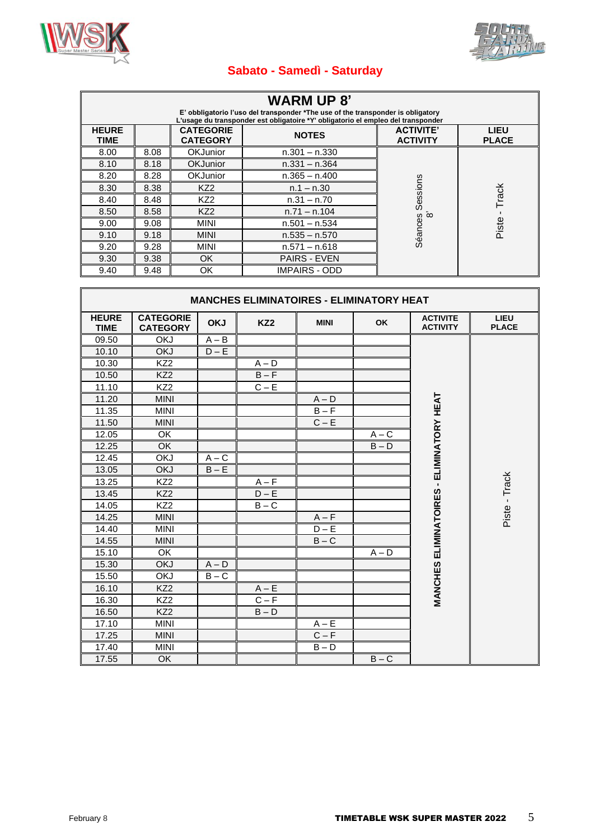



## **Sabato - Samedì - Saturday**

| <b>WARM UP 8'</b><br>E' obbligatorio l'uso del transponder *The use of the transponder is obligatory<br>L'usage du transponder est obligatoire *Y' obligatorio el empleo del transponder |      |                                     |                      |                                     |                             |  |  |
|------------------------------------------------------------------------------------------------------------------------------------------------------------------------------------------|------|-------------------------------------|----------------------|-------------------------------------|-----------------------------|--|--|
| <b>HEURE</b><br><b>TIME</b>                                                                                                                                                              |      | <b>CATEGORIE</b><br><b>CATEGORY</b> | <b>NOTES</b>         | <b>ACTIVITE'</b><br><b>ACTIVITY</b> | <b>LIEU</b><br><b>PLACE</b> |  |  |
| 8.00                                                                                                                                                                                     | 8.08 | <b>OKJunior</b>                     | $n.301 - n.330$      |                                     |                             |  |  |
| 8.10                                                                                                                                                                                     | 8.18 | <b>OKJunior</b>                     | $n.331 - n.364$      |                                     |                             |  |  |
| 8.20                                                                                                                                                                                     | 8.28 | <b>OKJunior</b>                     | $n.365 - n.400$      |                                     |                             |  |  |
| 8.30                                                                                                                                                                                     | 8.38 | KZ <sub>2</sub>                     | $n.1 - n.30$         |                                     |                             |  |  |
| 8.40                                                                                                                                                                                     | 8.48 | KZ <sub>2</sub>                     | $n.31 - n.70$        | Sessions                            | Track                       |  |  |
| 8.50                                                                                                                                                                                     | 8.58 | KZ <sub>2</sub>                     | $n.71 - n.104$       | <u>်လ</u>                           |                             |  |  |
| 9.00                                                                                                                                                                                     | 9.08 | <b>MINI</b>                         | $n.501 - n.534$      |                                     | Piste                       |  |  |
| 9.10                                                                                                                                                                                     | 9.18 | <b>MINI</b>                         | $n.535 - n.570$      | Séances                             |                             |  |  |
| 9.20                                                                                                                                                                                     | 9.28 | <b>MINI</b>                         | $n.571 - n.618$      |                                     |                             |  |  |
| 9.30                                                                                                                                                                                     | 9.38 | <b>OK</b>                           | <b>PAIRS - EVEN</b>  |                                     |                             |  |  |
| 9.40                                                                                                                                                                                     | 9.48 | OK                                  | <b>IMPAIRS - ODD</b> |                                     |                             |  |  |

| <b>MANCHES ELIMINATOIRES - ELIMINATORY HEAT</b> |                                     |            |                 |             |           |                                                 |                             |
|-------------------------------------------------|-------------------------------------|------------|-----------------|-------------|-----------|-------------------------------------------------|-----------------------------|
| <b>HEURE</b><br><b>TIME</b>                     | <b>CATEGORIE</b><br><b>CATEGORY</b> | <b>OKJ</b> | KZ <sub>2</sub> | <b>MINI</b> | <b>OK</b> | <b>ACTIVITE</b><br><b>ACTIVITY</b>              | <b>LIEU</b><br><b>PLACE</b> |
| 09.50                                           | <b>OKJ</b>                          | $A - B$    |                 |             |           |                                                 |                             |
| 10.10                                           | <b>OKJ</b>                          | $D - E$    |                 |             |           |                                                 |                             |
| 10.30                                           | KZ <sub>2</sub>                     |            | $A - D$         |             |           |                                                 |                             |
| 10.50                                           | KZ <sub>2</sub>                     |            | $B - F$         |             |           |                                                 |                             |
| 11.10                                           | KZ <sub>2</sub>                     |            | $C - E$         |             |           |                                                 |                             |
| 11.20                                           | <b>MINI</b>                         |            |                 | $A - D$     |           |                                                 |                             |
| 11.35                                           | <b>MINI</b>                         |            |                 | $B - F$     |           | <b>MANCHES ELIMINATOIRES - ELIMINATORY HEAT</b> |                             |
| 11.50                                           | <b>MINI</b>                         |            |                 | $C - E$     |           |                                                 |                             |
| 12.05                                           | $\overline{OK}$                     |            |                 |             | $A - C$   |                                                 |                             |
| 12.25                                           | OK                                  |            |                 |             | $B - D$   |                                                 |                             |
| 12.45                                           | <b>OKJ</b>                          | $A - C$    |                 |             |           |                                                 |                             |
| 13.05                                           | <b>OKJ</b>                          | $B - E$    |                 |             |           |                                                 |                             |
| 13.25                                           | KZ <sub>2</sub>                     |            | $A - F$         |             |           |                                                 | Piste - Track               |
| 13.45                                           | KZ <sub>2</sub>                     |            | $D - E$         |             |           |                                                 |                             |
| 14.05                                           | KZ <sub>2</sub>                     |            | $B - C$         |             |           |                                                 |                             |
| 14.25                                           | <b>MINI</b>                         |            |                 | $A - F$     |           |                                                 |                             |
| 14.40                                           | <b>MINI</b>                         |            |                 | $D - E$     |           |                                                 |                             |
| 14.55                                           | <b>MINI</b>                         |            |                 | $B - C$     |           |                                                 |                             |
| 15.10                                           | OK                                  |            |                 |             | $A - D$   |                                                 |                             |
| 15.30                                           | <b>OKJ</b>                          | $A - D$    |                 |             |           |                                                 |                             |
| 15.50                                           | OKJ                                 | $B - C$    |                 |             |           |                                                 |                             |
| 16.10                                           | KZ <sub>2</sub>                     |            | $A - E$         |             |           |                                                 |                             |
| 16.30                                           | KZ2                                 |            | $C - F$         |             |           |                                                 |                             |
| 16.50                                           | KZ <sub>2</sub>                     |            | $B - D$         |             |           |                                                 |                             |
| 17.10                                           | <b>MINI</b>                         |            |                 | $A - E$     |           |                                                 |                             |
| 17.25                                           | <b>MINI</b>                         |            |                 | $C - F$     |           |                                                 |                             |
| 17.40                                           | <b>MINI</b>                         |            |                 | $B - D$     |           |                                                 |                             |
| 17.55                                           | <b>OK</b>                           |            |                 |             | $B - C$   |                                                 |                             |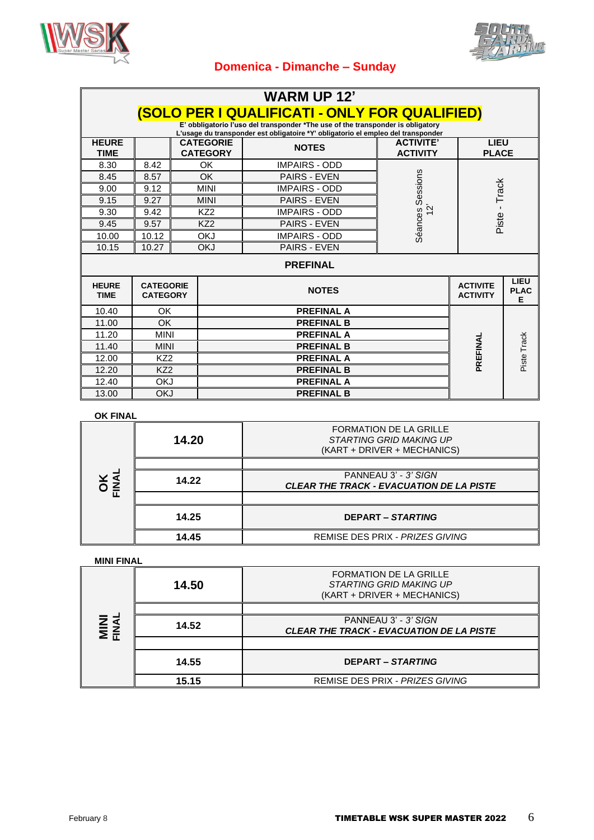



# **Domenica - Dimanche – Sunday**

| <b>WARM UP 12'</b>          |                                                      |  |                                     |                                                                                                                                                                     |                                     |                                    |                          |
|-----------------------------|------------------------------------------------------|--|-------------------------------------|---------------------------------------------------------------------------------------------------------------------------------------------------------------------|-------------------------------------|------------------------------------|--------------------------|
|                             | <b>(SOLO PER I QUALIFICATI - ONLY FOR QUALIFIED)</b> |  |                                     |                                                                                                                                                                     |                                     |                                    |                          |
|                             |                                                      |  |                                     | E' obbligatorio l'uso del transponder *The use of the transponder is obligatory<br>L'usage du transponder est obligatoire *Y' obligatorio el empleo del transponder |                                     |                                    |                          |
| <b>HEURE</b><br><b>TIME</b> |                                                      |  | <b>CATEGORIE</b><br><b>CATEGORY</b> | <b>NOTES</b>                                                                                                                                                        | <b>ACTIVITE'</b><br><b>ACTIVITY</b> | <b>LIEU</b><br><b>PLACE</b>        |                          |
| 8.30                        | 8.42                                                 |  | OK                                  | <b>IMPAIRS - ODD</b>                                                                                                                                                |                                     |                                    |                          |
| 8.45                        | 8.57                                                 |  | <b>OK</b>                           | <b>PAIRS - EVEN</b>                                                                                                                                                 | Sessions                            |                                    |                          |
| 9.00                        | 9.12                                                 |  | <b>MINI</b>                         | <b>IMPAIRS - ODD</b>                                                                                                                                                |                                     | Piste - Track                      |                          |
| 9.15                        | 9.27                                                 |  | <b>MINI</b>                         | <b>PAIRS - EVEN</b>                                                                                                                                                 |                                     |                                    |                          |
| 9.30                        | 9.42                                                 |  | KZ <sub>2</sub>                     | <b>IMPAIRS - ODD</b>                                                                                                                                                | $\mathbf{\hat{c}}$                  |                                    |                          |
| 9.45                        | 9.57                                                 |  | KZ <sub>2</sub>                     | <b>PAIRS - EVEN</b>                                                                                                                                                 |                                     |                                    |                          |
| 10.00                       | 10.12                                                |  | <b>OKJ</b>                          | <b>IMPAIRS - ODD</b>                                                                                                                                                | Séances                             |                                    |                          |
| 10.15                       | 10.27                                                |  | <b>OKJ</b>                          | PAIRS - EVEN                                                                                                                                                        |                                     |                                    |                          |
| <b>PREFINAL</b>             |                                                      |  |                                     |                                                                                                                                                                     |                                     |                                    |                          |
| <b>HEURE</b><br><b>TIME</b> | <b>CATEGORIE</b><br><b>CATEGORY</b>                  |  |                                     | <b>NOTES</b>                                                                                                                                                        |                                     | <b>ACTIVITE</b><br><b>ACTIVITY</b> | LIEU<br><b>PLAC</b><br>Е |
| 10.40                       | OK                                                   |  |                                     | <b>PREFINAL A</b>                                                                                                                                                   |                                     |                                    |                          |
| 11.00                       | OK.                                                  |  | <b>PREFINAL B</b>                   |                                                                                                                                                                     |                                     |                                    |                          |
| 11.20                       | <b>MINI</b>                                          |  |                                     |                                                                                                                                                                     |                                     |                                    |                          |
| 11.40                       | <b>MINI</b>                                          |  |                                     | PREFINAL                                                                                                                                                            | Piste Track                         |                                    |                          |
| 12.00                       | KZ <sub>2</sub>                                      |  |                                     |                                                                                                                                                                     |                                     |                                    |                          |
| 12.20                       | KZ <sub>2</sub>                                      |  |                                     | <b>PREFINAL B</b>                                                                                                                                                   |                                     |                                    |                          |
| 12.40                       | <b>OKJ</b>                                           |  |                                     | <b>PREFINAL A</b>                                                                                                                                                   |                                     |                                    |                          |
| 13.00                       | <b>OKJ</b>                                           |  |                                     | <b>PREFINAL B</b>                                                                                                                                                   |                                     |                                    |                          |

#### **OK FINAL**

|                     | 14.20 | <b>FORMATION DE LA GRILLE</b><br>STARTING GRID MAKING UP<br>(KART + DRIVER + MECHANICS) |
|---------------------|-------|-----------------------------------------------------------------------------------------|
|                     |       |                                                                                         |
| <b>DKAN</b><br>KNAN | 14.22 | PANNEAU 3' - 3' SIGN<br><b>CLEAR THE TRACK - EVACUATION DE LA PISTE</b>                 |
|                     |       |                                                                                         |
|                     | 14.25 | <b>DEPART – STARTING</b>                                                                |
|                     | 14.45 | REMISE DES PRIX - PRIZES GIVING                                                         |

#### **MINI FINAL**

|                      | 14.50 | <b>FORMATION DE LA GRILLE</b><br>STARTING GRID MAKING UP<br>(KART + DRIVER + MECHANICS) |
|----------------------|-------|-----------------------------------------------------------------------------------------|
|                      |       |                                                                                         |
| <b>MINI</b><br>FINAL | 14.52 | PANNEAU 3' - 3' SIGN<br><b>CLEAR THE TRACK - EVACUATION DE LA PISTE</b>                 |
|                      |       |                                                                                         |
|                      | 14.55 | <b>DEPART – STARTING</b>                                                                |
|                      | 15.15 | REMISE DES PRIX - PRIZES GIVING                                                         |